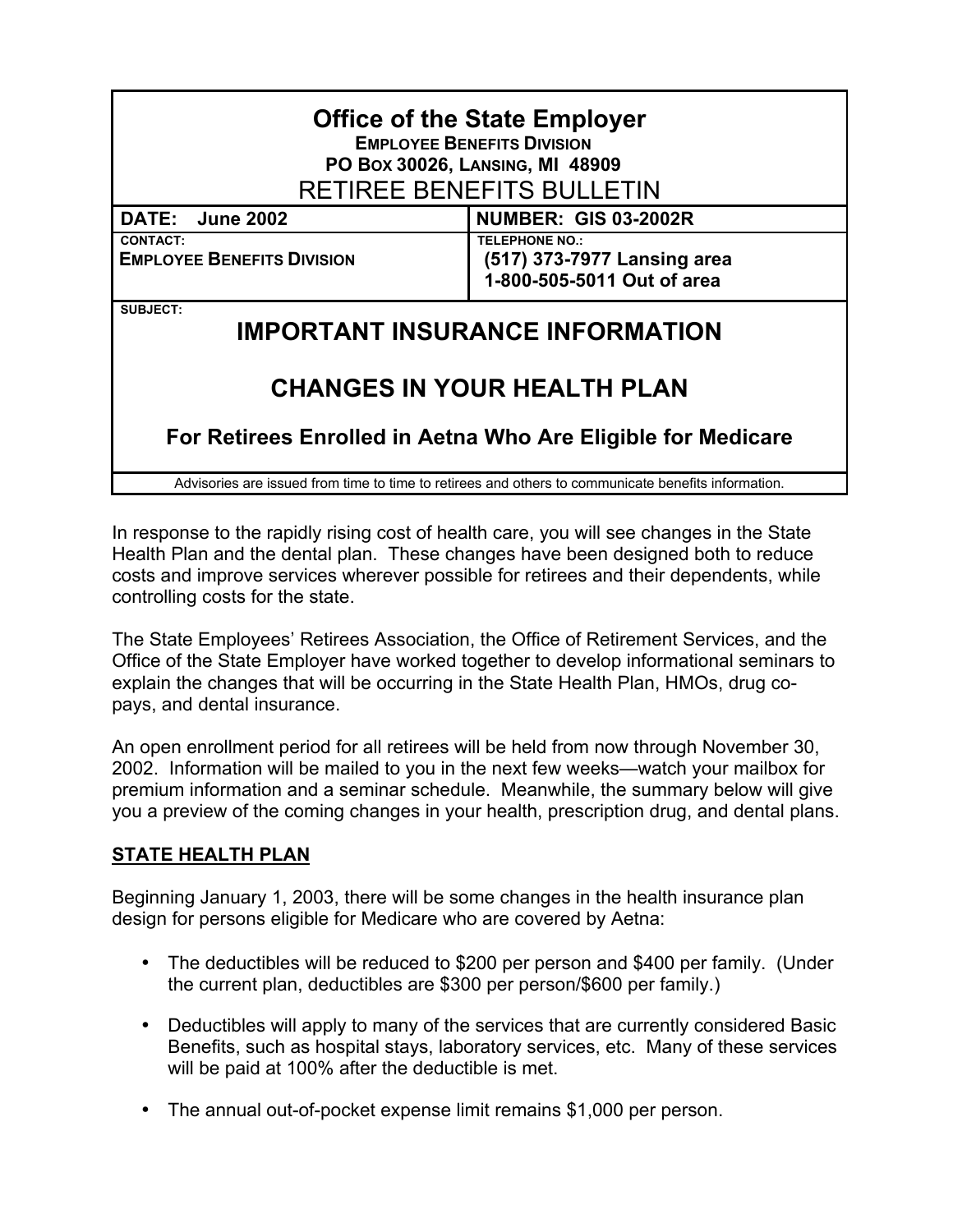| <b>Office of the State Employer</b><br><b>EMPLOYEE BENEFITS DIVISION</b><br>PO Box 30026, LANSING, MI 48909<br><b>RETIREE BENEFITS BULLETIN</b> |                                                                                    |
|-------------------------------------------------------------------------------------------------------------------------------------------------|------------------------------------------------------------------------------------|
| DATE: June 2002                                                                                                                                 | <b>NUMBER: GIS 03-2002R</b>                                                        |
| <b>CONTACT:</b><br><b>EMPLOYEE BENEFITS DIVISION</b>                                                                                            | <b>TELEPHONE NO.:</b><br>(517) 373-7977 Lansing area<br>1-800-505-5011 Out of area |
| <b>SUBJECT:</b><br><b>IMPORTANT INSURANCE INFORMATION</b>                                                                                       |                                                                                    |
| <b>CHANGES IN YOUR HEALTH PLAN</b>                                                                                                              |                                                                                    |

**For Retirees Enrolled in Aetna Who Are Eligible for Medicare**

Advisories are issued from time to time to retirees and others to communicate benefits information.

In response to the rapidly rising cost of health care, you will see changes in the State Health Plan and the dental plan. These changes have been designed both to reduce costs and improve services wherever possible for retirees and their dependents, while controlling costs for the state.

The State Employees' Retirees Association, the Office of Retirement Services, and the Office of the State Employer have worked together to develop informational seminars to explain the changes that will be occurring in the State Health Plan, HMOs, drug copays, and dental insurance.

An open enrollment period for all retirees will be held from now through November 30, 2002. Information will be mailed to you in the next few weeks—watch your mailbox for premium information and a seminar schedule. Meanwhile, the summary below will give you a preview of the coming changes in your health, prescription drug, and dental plans.

## **STATE HEALTH PLAN**

Beginning January 1, 2003, there will be some changes in the health insurance plan design for persons eligible for Medicare who are covered by Aetna:

- The deductibles will be reduced to \$200 per person and \$400 per family. (Under the current plan, deductibles are \$300 per person/\$600 per family.)
- Deductibles will apply to many of the services that are currently considered Basic Benefits, such as hospital stays, laboratory services, etc. Many of these services will be paid at 100% after the deductible is met.
- The annual out-of-pocket expense limit remains \$1,000 per person.